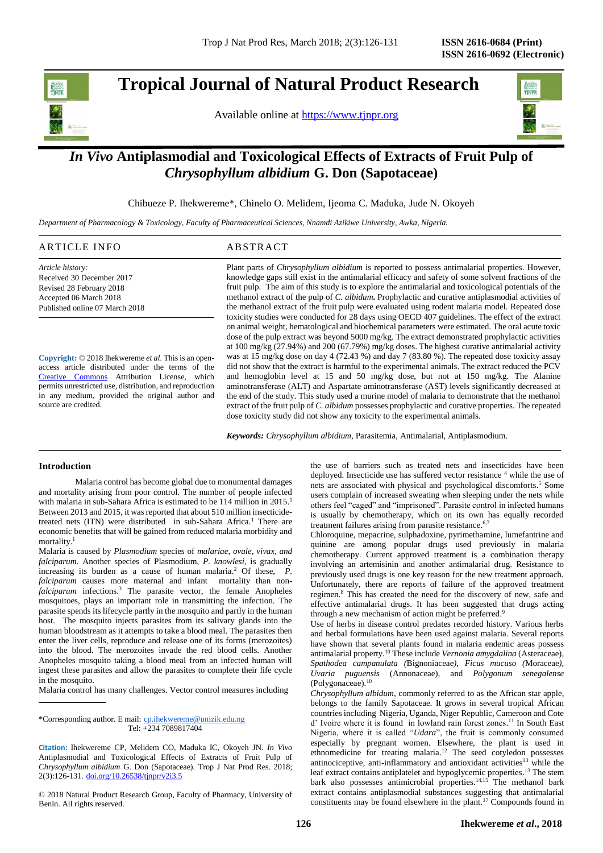# **Tropical Journal of Natural Product Research**

Available online at [https://www.tjnpr.org](https://www.tjnpr.org/)



## *In Vivo* **Antiplasmodial and Toxicological Effects of Extracts of Fruit Pulp of**  *Chrysophyllum albidium* **G. Don (Sapotaceae)**

Chibueze P. Ihekwereme\*, Chinelo O. Melidem, Ijeoma C. Maduka, Jude N. Okoyeh

*Department of Pharmacology & Toxicology, Faculty of Pharmaceutical Sciences, Nnamdi Azikiwe University, Awka, Nigeria.* 

| ARTICLE INFO                   | ABSTRACT                                                                                                                                                                                                       |
|--------------------------------|----------------------------------------------------------------------------------------------------------------------------------------------------------------------------------------------------------------|
| Article history:               | Plant parts of <i>Chrysophyllum albidium</i> is reported to possess antimalarial properties. However,                                                                                                          |
| Received 30 December 2017      | knowledge gaps still exist in the antimalarial efficacy and safety of some solvent fractions of the                                                                                                            |
| Revised 28 February 2018       | fruit pulp. The aim of this study is to explore the antimalarial and toxicological potentials of the                                                                                                           |
| Accepted 06 March 2018         | methanol extract of the pulp of C. albidum. Prophylactic and curative antiplasmodial activities of                                                                                                             |
| Published online 07 March 2018 | the methanol extract of the fruit pulp were evaluated using rodent malaria model. Repeated dose<br>toxicity studies were conducted for 28 days using OECD 407 guidelines. The effect of the extract            |
|                                | on animal weight, hematological and biochemical parameters were estimated. The oral acute toxic<br>dose of the pulp extract was beyond $5000 \frac{mg}{kg}$ . The extract demonstrated prophylactic activities |

**Copyright:** © 2018 Ihekwereme *et al*. This is an openaccess article distributed under the terms of the [Creative Commons](https://creativecommons.org/licenses/by/4.0/) Attribution License, which permits unrestricted use, distribution, and reproduction in any medium, provided the original author and source are credited.

at 100 mg/kg (27.94%) and 200 (67.79%) mg/kg doses. The highest curative antimalarial activity was at 15 mg/kg dose on day 4 (72.43 %) and day 7 (83.80 %). The repeated dose toxicity assay did not show that the extract is harmful to the experimental animals. The extract reduced the PCV and hemoglobin level at 15 and 50 mg/kg dose, but not at 150 mg/kg. The Alanine aminotransferase (ALT) and Aspartate aminotransferase (AST) levels significantly decreased at the end of the study. This study used a murine model of malaria to demonstrate that the methanol extract of the fruit pulp of *C. albidum* possesses prophylactic and curative properties. The repeated dose toxicity study did not show any toxicity to the experimental animals.

*Keywords: Chrysophyllum albidium*, Parasitemia, Antimalarial, Antiplasmodium.

## **Introduction**

Malaria control has become global due to monumental damages and mortality arising from poor control. The number of people infected with malaria in sub-Sahara Africa is estimated to be 114 million in 2015. 1 Between 2013 and 2015, it was reported that about 510 million insecticidetreated nets (ITN) were distributed in sub-Sahara Africa. <sup>1</sup> There are economic benefits that will be gained from reduced malaria morbidity and mortality. 1

Malaria is caused by *Plasmodium* species of *malariae*, *ovale, vivax, and falciparum*. Another species of Plasmodium, *P. knowlesi*, is gradually increasing its burden as a cause of human malaria. <sup>2</sup> Of these, *P. falciparum* causes more maternal and infant mortality than non*falciparum* infections. <sup>3</sup> The parasite vector, the female Anopheles mosquitoes, plays an important role in transmitting the infection. The parasite spends its lifecycle partly in the mosquito and partly in the human host. The mosquito injects parasites from its salivary glands into the human bloodstream as it attempts to take a blood meal. The parasites then enter the liver cells, reproduce and release one of its forms (merozoites) into the blood. The merozoites invade the red blood cells. Another Anopheles mosquito taking a blood meal from an infected human will ingest these parasites and allow the parasites to complete their life cycle in the mosquito.

Malaria control has many challenges. Vector control measures including

\*Corresponding author. E mail: [cp.ihekwereme@unizik.edu.ng](mailto:cp.ihekwereme@unizik.edu.ng)  Tel: +234 7089817404

© 2018 Natural Product Research Group, Faculty of Pharmacy, University of Benin. All rights reserved.

the use of barriers such as treated nets and insecticides have been deployed. Insecticide use has suffered vector resistance <sup>4</sup> while the use of nets are associated with physical and psychological discomforts. <sup>5</sup> Some users complain of increased sweating when sleeping under the nets while others feel "caged" and "imprisoned". Parasite control in infected humans is usually by chemotherapy, which on its own has equally recorded treatment failures arising from parasite resistance.<sup>6,7</sup>

Chloroquine, mepacrine, sulphadoxine, pyrimethamine, lumefantrine and quinine are among popular drugs used previously in malaria chemotherapy. Current approved treatment is a combination therapy involving an artemisinin and another antimalarial drug. Resistance to previously used drugs is one key reason for the new treatment approach. Unfortunately, there are reports of failure of the approved treatment regimen. <sup>8</sup> This has created the need for the discovery of new, safe and effective antimalarial drugs. It has been suggested that drugs acting through a new mechanism of action might be preferred.<sup>9</sup>

Use of herbs in disease control predates recorded history. Various herbs and herbal formulations have been used against malaria. Several reports have shown that several plants found in malaria endemic areas possess antimalarial property. <sup>10</sup> These include *Vernonia amygdalina* (Asteraceae)*, Spathodea campanulata (*Bignoniaceae*), Ficus mucuso (*Moraceae*), Uvaria puguensis* (Annonaceae)*,* and *Polygonum senegalense*  (Polygonaceae). 10

*Chrysophyllum albidum*, commonly referred to as the African star apple, belongs to the family Sapotaceae. It grows in several tropical African countries including Nigeria, Uganda, Niger Republic, Cameroon and Cote d' Ivoire where it is found in lowland rain forest zones. <sup>11</sup> In South East Nigeria, where it is called "*Udara*", the fruit is commonly consumed especially by pregnant women. Elsewhere, the plant is used in ethnomedicine for treating malaria. <sup>12</sup> The seed cotyledon possesses antinociceptive, anti-inflammatory and antioxidant activities<sup>13</sup> while the leaf extract contains antiplatelet and hypoglycemic properties. <sup>13</sup> The stem bark also possesses antimicrobial properties. 14,15 The methanol bark extract contains antiplasmodial substances suggesting that antimalarial constituents may be found elsewhere in the plant. <sup>17</sup> Compounds found in

**Citation:** Ihekwereme CP, Melidem CO, Maduka IC, Okoyeh JN. *In Vivo* Antiplasmodial and Toxicological Effects of Extracts of Fruit Pulp of *Chrysophyllum albidium* G. Don (Sapotaceae). Trop J Nat Prod Res. 2018; 2(3):126-131. [doi.org/10.26538/tjnpr/v2i3.5](http://www.doi.org/10.26538/tjnpr/v1i4.5)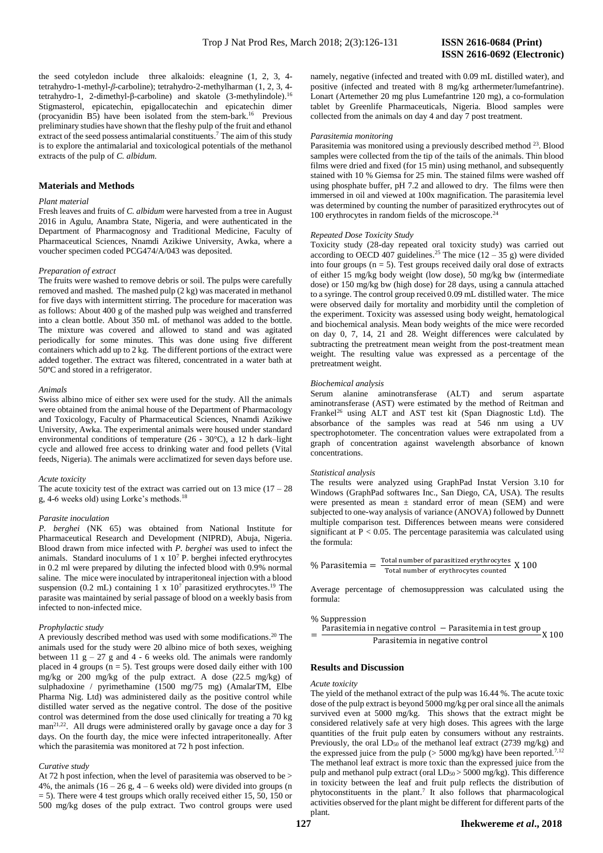the seed cotyledon include three alkaloids: eleagnine (1, 2, 3, 4 tetrahydro-1-methyl-*β*-carboline); tetrahydro-2-methylharman (1, 2, 3, 4 tetrahydro-1, 2-dimethyl-β-carboline) and skatole (3-methylindole).<sup>16</sup> Stigmasterol, epicatechin, epigallocatechin and epicatechin dimer (procyanidin B5) have been isolated from the stem-bark. 16 Previous preliminary studies have shown that the fleshy pulp of the fruit and ethanol extract of the seed possess antimalarial constituents. <sup>7</sup> The aim of this study is to explore the antimalarial and toxicological potentials of the methanol extracts of the pulp of *C. albidum.*

## **Materials and Methods**

## *Plant material*

Fresh leaves and fruits of *C. albidum* were harvested from a tree in August 2016 in Agulu, Anambra State, Nigeria, and were authenticated in the Department of Pharmacognosy and Traditional Medicine, Faculty of Pharmaceutical Sciences, Nnamdi Azikiwe University, Awka, where a voucher specimen coded PCG474/A/043 was deposited.

## *Preparation of extract*

The fruits were washed to remove debris or soil. The pulps were carefully removed and mashed. The mashed pulp (2 kg) was macerated in methanol for five days with intermittent stirring. The procedure for maceration was as follows: About 400 g of the mashed pulp was weighed and transferred into a clean bottle. About 350 mL of methanol was added to the bottle. The mixture was covered and allowed to stand and was agitated periodically for some minutes. This was done using five different containers which add up to 2 kg. The different portions of the extract were added together. The extract was filtered, concentrated in a water bath at 50ºC and stored in a refrigerator.

## *Animals*

Swiss albino mice of either sex were used for the study. All the animals were obtained from the animal house of the Department of Pharmacology and Toxicology, Faculty of Pharmaceutical Sciences, Nnamdi Azikiwe University, Awka. The experimental animals were housed under standard environmental conditions of temperature (26 - 30°C), a 12 h dark–light cycle and allowed free access to drinking water and food pellets (Vital feeds, Nigeria). The animals were acclimatized for seven days before use.

#### *Acute toxicity*

The acute toxicity test of the extract was carried out on  $13$  mice  $(17 - 28)$ g, 4-6 weeks old) using Lorke's methods.<sup>18</sup>

## *Parasite inoculation*

*P. berghei* (NK 65) was obtained from National Institute for Pharmaceutical Research and Development (NIPRD), Abuja, Nigeria. Blood drawn from mice infected with *P. berghei* was used to infect the animals. Standard inoculums of  $1 \times 10^7$  P. berghei infected erythrocytes in 0.2 ml were prepared by diluting the infected blood with 0.9% normal saline. The mice were inoculated by intraperitoneal injection with a blood suspension (0.2 mL) containing 1 x  $10<sup>7</sup>$  parasitized erythrocytes.<sup>19</sup> The parasite was maintained by serial passage of blood on a weekly basis from infected to non-infected mice.

## *Prophylactic study*

A previously described method was used with some modifications. <sup>20</sup> The animals used for the study were 20 albino mice of both sexes, weighing between 11  $g - 27 g$  and 4 - 6 weeks old. The animals were randomly placed in 4 groups ( $n = 5$ ). Test groups were dosed daily either with 100 mg/kg or 200 mg/kg of the pulp extract. A dose (22.5 mg/kg) of sulphadoxine / pyrimethamine (1500 mg/75 mg) (AmalarTM, Elbe Pharma Nig. Ltd) was administered daily as the positive control while distilled water served as the negative control. The dose of the positive control was determined from the dose used clinically for treating a 70 kg man<sup>21,22</sup>. All drugs were administered orally by gavage once a day for 3 days. On the fourth day, the mice were infected intraperitoneally. After which the parasitemia was monitored at 72 h post infection.

#### *Curative study*

At 72 h post infection, when the level of parasitemia was observed to be > 4%, the animals  $(16 - 26$  g,  $4 - 6$  weeks old) were divided into groups (n  $=$  5). There were 4 test groups which orally received either 15, 50, 150 or 500 mg/kg doses of the pulp extract. Two control groups were used namely, negative (infected and treated with 0.09 mL distilled water), and positive (infected and treated with 8 mg/kg arthermeter/lumefantrine). Lonart (Artemether 20 mg plus Lumefantrine 120 mg), a co-formulation tablet by Greenlife Pharmaceuticals, Nigeria. Blood samples were collected from the animals on day 4 and day 7 post treatment.

#### *Parasitemia monitoring*

Parasitemia was monitored using a previously described method <sup>23</sup>. Blood samples were collected from the tip of the tails of the animals. Thin blood films were dried and fixed (for 15 min) using methanol, and subsequently stained with 10 % Giemsa for 25 min. The stained films were washed off using phosphate buffer, pH 7.2 and allowed to dry. The films were then immersed in oil and viewed at 100x magnification. The parasitemia level was determined by counting the number of parasitized erythrocytes out of 100 erythrocytes in random fields of the microscope.<sup>24</sup>

#### *Repeated Dose Toxicity Study*

Toxicity study (28-day repeated oral toxicity study) was carried out according to OECD 407 guidelines.<sup>25</sup> The mice  $(12 – 35 g)$  were divided into four groups  $(n = 5)$ . Test groups received daily oral dose of extracts of either 15 mg/kg body weight (low dose), 50 mg/kg bw (intermediate dose) or 150 mg/kg bw (high dose) for 28 days, using a cannula attached to a syringe. The control group received 0.09 mL distilled water. The mice were observed daily for mortality and morbidity until the completion of the experiment. Toxicity was assessed using body weight, hematological and biochemical analysis. Mean body weights of the mice were recorded on day 0, 7, 14, 21 and 28. Weight differences were calculated by subtracting the pretreatment mean weight from the post-treatment mean weight. The resulting value was expressed as a percentage of the pretreatment weight.

#### *Biochemical analysis*

Serum alanine aminotransferase (ALT) and serum aspartate aminotransferase (AST) were estimated by the method of Reitman and Frankel<sup>26</sup> using ALT and AST test kit (Span Diagnostic Ltd). The absorbance of the samples was read at 546 nm using a UV spectrophotometer. The concentration values were extrapolated from a graph of concentration against wavelength absorbance of known concentrations.

#### *Statistical analysis*

The results were analyzed using GraphPad Instat Version 3.10 for Windows (GraphPad softwares Inc., San Diego, CA, USA). The results were presented as mean  $\pm$  standard error of mean (SEM) and were subjected to one-way analysis of variance (ANOVA) followed by Dunnett multiple comparison test. Differences between means were considered significant at  $P < 0.05$ . The percentage parasitemia was calculated using the formula:

% Parasitemia = 
$$
\frac{\text{Total number of parasitized erythrocytes}}{\text{Total number of erythrocytes counted}} \times 100
$$

Average percentage of chemosuppression was calculated using the formula:

## % Suppression

= Parasitemia in negative control – Parasitemia in test group<br>Parasitemia in negative control X 100

## **Results and Discussion**

#### *Acute toxicity*

The yield of the methanol extract of the pulp was 16.44 %. The acute toxic dose of the pulp extract is beyond 5000 mg/kg per oralsince all the animals survived even at 5000 mg/kg. This shows that the extract might be considered relatively safe at very high doses. This agrees with the large quantities of the fruit pulp eaten by consumers without any restraints. Previously, the oral  $LD_{50}$  of the methanol leaf extract (2739 mg/kg) and the expressed juice from the pulp ( $>$  5000 mg/kg) have been reported.<sup>7,12</sup> The methanol leaf extract is more toxic than the expressed juice from the pulp and methanol pulp extract (oral  $LD_{50}$  > 5000 mg/kg). This difference in toxicity between the leaf and fruit pulp reflects the distribution of phytoconstituents in the plant. 7 It also follows that pharmacological activities observed for the plant might be different for different parts of the plant.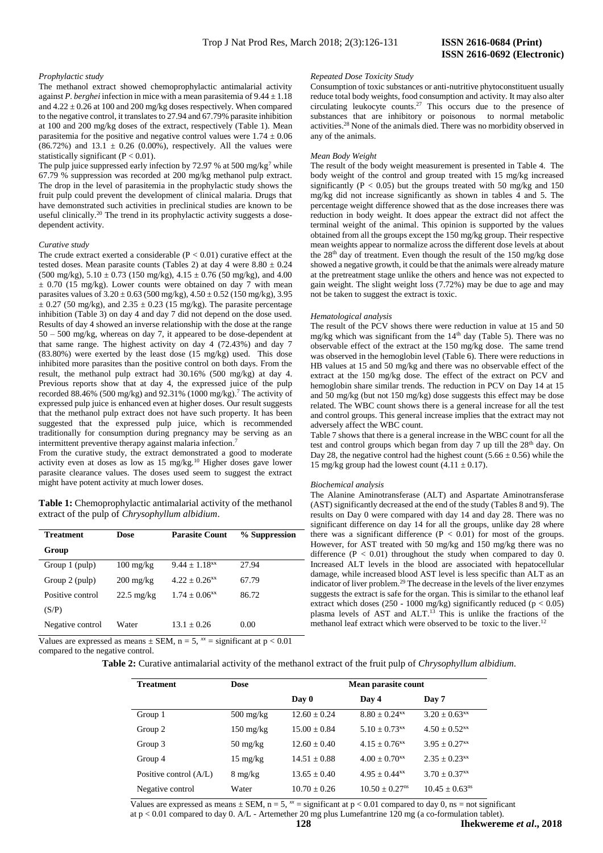*Repeated Dose Toxicity Study* 

not be taken to suggest the extract is toxic.

*Hematological analysis*

adversely affect the WBC count.

*Biochemical analysis*

15 mg/kg group had the lowest count  $(4.11 \pm 0.17)$ .

any of the animals. *Mean Body Weight*

Consumption of toxic substances or anti-nutritive phytoconstituent usually reduce total body weights, food consumption and activity. It may also alter circulating leukocyte counts.<sup>27</sup> This occurs due to the presence of substances that are inhibitory or poisonous to normal metabolic activities. <sup>28</sup> None of the animals died. There was no morbidity observed in

The result of the body weight measurement is presented in Table 4. The body weight of the control and group treated with 15 mg/kg increased significantly ( $P < 0.05$ ) but the groups treated with 50 mg/kg and 150 mg/kg did not increase significantly as shown in tables 4 and 5. The percentage weight difference showed that as the dose increases there was reduction in body weight. It does appear the extract did not affect the terminal weight of the animal. This opinion is supported by the values obtained from all the groups except the 150 mg/kg group. Their respective mean weights appear to normalize across the different dose levels at about the 28<sup>th</sup> day of treatment. Even though the result of the 150 mg/kg dose showed a negative growth, it could be that the animals were already mature at the pretreatment stage unlike the others and hence was not expected to gain weight. The slight weight loss (7.72%) may be due to age and may

The result of the PCV shows there were reduction in value at 15 and 50 mg/kg which was significant from the  $14<sup>th</sup>$  day (Table 5). There was no observable effect of the extract at the 150 mg/kg dose. The same trend was observed in the hemoglobin level (Table 6). There were reductions in HB values at 15 and 50 mg/kg and there was no observable effect of the extract at the 150 mg/kg dose. The effect of the extract on PCV and hemoglobin share similar trends. The reduction in PCV on Day 14 at 15 and 50 mg/kg (but not 150 mg/kg) dose suggests this effect may be dose related. The WBC count shows there is a general increase for all the test and control groups. This general increase implies that the extract may not

Table 7 shows that there is a general increase in the WBC count for all the test and control groups which began from day 7 up till the 28<sup>th</sup> day. On Day 28, the negative control had the highest count  $(5.66 \pm 0.56)$  while the

The Alanine Aminotransferase (ALT) and Aspartate Aminotransferase (AST) significantly decreased at the end of the study (Tables 8 and 9). The results on Day 0 were compared with day 14 and day 28. There was no significant difference on day 14 for all the groups, unlike day 28 where there was a significant difference ( $P < 0.01$ ) for most of the groups. However, for AST treated with 50 mg/kg and 150 mg/kg there was no difference  $(P < 0.01)$  throughout the study when compared to day 0. Increased ALT levels in the blood are associated with hepatocellular damage, while increased blood AST level is less specific than ALT as an indicator of liver problem. <sup>29</sup> The decrease in the levels of the liver enzymes suggests the extract is safe for the organ. This is similar to the ethanol leaf extract which doses (250 - 1000 mg/kg) significantly reduced ( $p < 0.05$ ) plasma levels of AST and ALT. <sup>13</sup> This is unlike the fractions of the methanol leaf extract which were observed to be toxic to the liver. 12

## *Prophylactic study*

The methanol extract showed chemoprophylactic antimalarial activity against *P*. berghei infection in mice with a mean parasitemia of  $9.44 \pm 1.18$ and  $4.22 \pm 0.26$  at 100 and 200 mg/kg doses respectively. When compared to the negative control, it translates to 27.94 and 67.79% parasite inhibition at 100 and 200 mg/kg doses of the extract, respectively (Table 1). Mean parasitemia for the positive and negative control values were  $1.74 \pm 0.06$  $(86.72%)$  and  $13.1 \pm 0.26 (0.00%)$ , respectively. All the values were statistically significant  $(P < 0.01)$ .

The pulp juice suppressed early infection by 72.97 % at 500 mg/kg<sup>7</sup> while 67.79 % suppression was recorded at 200 mg/kg methanol pulp extract*.* The drop in the level of parasitemia in the prophylactic study shows the fruit pulp could prevent the development of clinical malaria. Drugs that have demonstrated such activities in preclinical studies are known to be useful clinically. <sup>20</sup> The trend in its prophylactic activity suggests a dosedependent activity.

## *Curative study*

The crude extract exerted a considerable  $(P < 0.01)$  curative effect at the tested doses. Mean parasite counts (Tables 2) at day 4 were  $8.80 \pm 0.24$  $(500 \text{ mg/kg})$ ,  $5.10 \pm 0.73$  (150 mg/kg),  $4.15 \pm 0.76$  (50 mg/kg), and 4.00  $\pm$  0.70 (15 mg/kg). Lower counts were obtained on day 7 with mean parasites values of  $3.20 \pm 0.63$  (500 mg/kg),  $4.50 \pm 0.52$  (150 mg/kg),  $3.95$  $\pm$  0.27 (50 mg/kg), and 2.35  $\pm$  0.23 (15 mg/kg). The parasite percentage inhibition (Table 3) on day 4 and day 7 did not depend on the dose used. Results of day 4 showed an inverse relationship with the dose at the range 50 – 500 mg/kg, whereas on day 7, it appeared to be dose-dependent at that same range. The highest activity on day 4 (72.43%) and day 7 (83.80%) were exerted by the least dose (15 mg/kg) used. This dose inhibited more parasites than the positive control on both days. From the result, the methanol pulp extract had 30.16% (500 mg/kg) at day 4. Previous reports show that at day 4, the expressed juice of the pulp recorded 88.46% (500 mg/kg) and 92.31% (1000 mg/kg).<sup>7</sup> The activity of expressed pulp juice is enhanced even at higher doses. Our result suggests that the methanol pulp extract does not have such property. It has been suggested that the expressed pulp juice, which is recommended traditionally for consumption during pregnancy may be serving as an intermittent preventive therapy against malaria infection.<sup>7</sup>

From the curative study, the extract demonstrated a good to moderate activity even at doses as low as 15 mg/kg.<sup>10</sup> Higher doses gave lower parasite clearance values. The doses used seem to suggest the extract might have potent activity at much lower doses.

**Table 1:** Chemoprophylactic antimalarial activity of the methanol extract of the pulp of *Chrysophyllum albidium*.

| <b>Treatment</b> | Dose                 | <b>Parasite Count</b>       | % Suppression |
|------------------|----------------------|-----------------------------|---------------|
| Group            |                      |                             |               |
| Group 1 (pulp)   | $100 \text{ mg/kg}$  | $9.44 + 1.18$ <sup>xx</sup> | 27.94         |
| Group 2 (pulp)   | $200 \text{ mg/kg}$  | $4.22 + 0.26$ <sup>**</sup> | 67.79         |
| Positive control | $22.5 \text{ mg/kg}$ | $1.74 + 0.06$ <sup>xx</sup> | 86.72         |
| (S/P)            |                      |                             |               |
| Negative control | Water                | $13.1 + 0.26$               | 0.00          |

Values are expressed as means  $\pm$  SEM, n = 5,  $^{xx}$  = significant at p < 0.01 compared to the negative control.

## **Table 2:** Curative antimalarial activity of the methanol extract of the fruit pulp of *Chrysophyllum albidium.*

| <b>Treatment</b>       | Dose                | Mean parasite count |                               |                               |
|------------------------|---------------------|---------------------|-------------------------------|-------------------------------|
|                        |                     | Day 0               | Day 4                         | Day 7                         |
| Group 1                | $500 \text{ mg/kg}$ | $12.60 + 0.24$      | $8.80 + 0.24$ <sup>xx</sup>   | $3.20 \pm 0.63$ <sup>xx</sup> |
| Group 2                | $150 \text{ mg/kg}$ | $15.00 + 0.84$      | $5.10 + 0.73$ <sup>xx</sup>   | $4.50 + 0.52$ <sup>xx</sup>   |
| Group 3                | $50 \text{ mg/kg}$  | $12.60 + 0.40$      | $4.15 + 0.76$ <sup>xx</sup>   | $3.95 + 0.27$ <sup>xx</sup>   |
| Group 4                | $15 \text{ mg/kg}$  | $14.51 \pm 0.88$    | $4.00 + 0.70$ <sup>xx</sup>   | $2.35 + 0.23^{xx}$            |
| Positive control (A/L) | $8 \text{ mg/kg}$   | $13.65 + 0.40$      | $4.95 \pm 0.44$ <sup>xx</sup> | $3.70 + 0.37$ <sup>xx</sup>   |
| Negative control       | Water               | $10.70 + 0.26$      | $10.50 + 0.27$ <sup>ns</sup>  | $10.45 + 0.63$ <sup>ns</sup>  |

Values are expressed as means  $\pm$  SEM, n = 5,  $^{x}$  = significant at p < 0.01 compared to day 0, ns = not significant at p < 0.01 compared to day 0. A/L - Artemether 20 mg plus Lumefantrine 120 mg (a co-formulation tablet).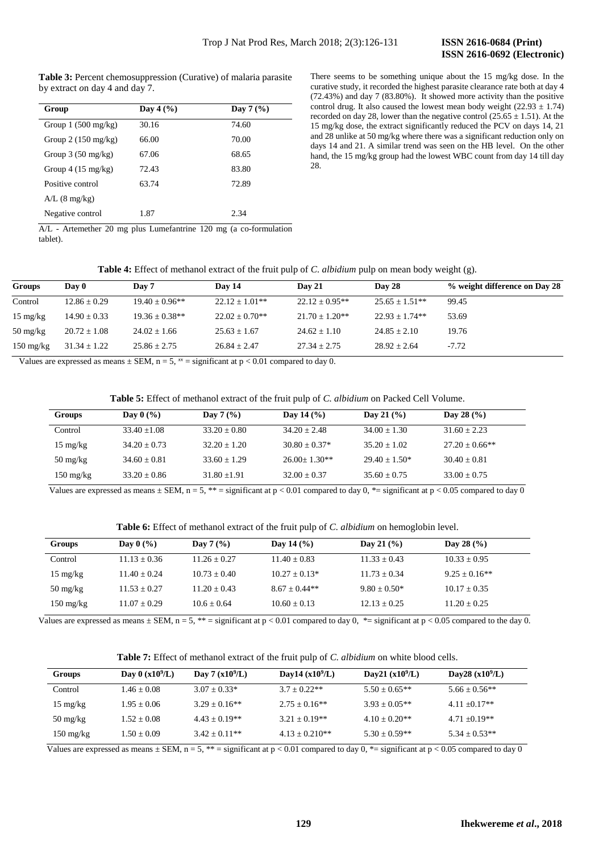**Table 3:** Percent chemosuppression (Curative) of malaria parasite by extract *o*n day 4 and day 7.

| Group                        | Day 4 $(\% )$ | Day $7\,(%)$ |
|------------------------------|---------------|--------------|
| Group $1(500 \text{ mg/kg})$ | 30.16         | 74.60        |
| Group $2(150 \text{ mg/kg})$ | 66.00         | 70.00        |
| Group $3(50 \text{ mg/kg})$  | 67.06         | 68.65        |
| Group $4(15 \text{ mg/kg})$  | 72.43         | 83.80        |
| Positive control             | 63.74         | 72.89        |
| $A/L$ (8 mg/kg)              |               |              |
| Negative control             | 1.87          | 2.34         |

There seems to be something unique about the 15 mg/kg dose. In the curative study, it recorded the highest parasite clearance rate both at day 4 (72.43%) and day 7 (83.80%). It showed more activity than the positive control drug. It also caused the lowest mean body weight  $(22.93 \pm 1.74)$ recorded on day 28, lower than the negative control ( $25.65 \pm 1.51$ ). At the 15 mg/kg dose, the extract significantly reduced the PCV on days 14, 21 and 28 unlike at 50 mg/kg where there was a significant reduction only on days 14 and 21. A similar trend was seen on the HB level. On the other hand, the 15 mg/kg group had the lowest WBC count from day 14 till day 28.

A/L - Artemether 20 mg plus Lumefantrine 120 mg (a co-formulation tablet).

**Table 4:** Effect of methanol extract of the fruit pulp of *C. albidium* pulp on mean body weight (g).

| Groups                           | Day 0            | Day 7              | Day 14           | <b>Day 21</b>    | Day 28             | % weight difference on Day 28 |
|----------------------------------|------------------|--------------------|------------------|------------------|--------------------|-------------------------------|
| Control                          | $12.86 \pm 0.29$ | $19.40 + 0.96**$   | $22.12 + 1.01**$ | $22.12 + 0.95**$ | $25.65 \pm 1.51**$ | 99.45                         |
| $15 \text{ mg/kg}$               | $14.90 \pm 0.33$ | $19.36 \pm 0.38**$ | $22.02 + 0.70**$ | $21.70 + 1.20**$ | $22.93 + 1.74**$   | 53.69                         |
| $50 \frac{\text{mg}}{\text{kg}}$ | $20.72 \pm 1.08$ | $24.02 \pm 1.66$   | $25.63 \pm 1.67$ | $24.62 \pm 1.10$ | $24.85 \pm 2.10$   | 19.76                         |
| $150 \text{ mg/kg}$              | $31.34 \pm 1.22$ | $25.86 \pm 2.75$   | $26.84 \pm 2.47$ | $27.34 \pm 2.75$ | $28.92 \pm 2.64$   | $-7.72$                       |

Values are expressed as means  $\pm$  SEM, n = 5,  $\alpha$ <sup>xx</sup> = significant at p < 0.01 compared to day 0.

| Groups                           | Day $0(%)$     | Day $7\,(%)$   | Day 14 $(\% )$     | Day 21 $(% )$   | Day 28 $(\% )$   |
|----------------------------------|----------------|----------------|--------------------|-----------------|------------------|
| Control                          | $33.40 + 1.08$ | $33.20 + 0.80$ | $34.20 + 2.48$     | $34.00 + 1.30$  | $31.60 + 2.23$   |
| $15 \text{ mg/kg}$               | $34.20 + 0.73$ | $32.20 + 1.20$ | $30.80 + 0.37*$    | $35.20 + 1.02$  | $27.20 + 0.66**$ |
| $50 \frac{\text{mg}}{\text{kg}}$ | $34.60 + 0.81$ | $33.60 + 1.29$ | $26.00 \pm 1.30**$ | $29.40 + 1.50*$ | $30.40 + 0.81$   |
| $150 \text{ mg/kg}$              | $33.20 + 0.86$ | $31.80 + 1.91$ | $32.00 + 0.37$     | $35.60 + 0.75$  | $33.00 + 0.75$   |
|                                  |                |                |                    |                 |                  |

Values are expressed as means  $\pm$  SEM, n = 5, \*\* = significant at p < 0.01 compared to day 0, \*= significant at p < 0.05 compared to day 0

**Table 6:** Effect of methanol extract of the fruit pulp of *C. albidium* on hemoglobin level.

| Groups                           | Day $0\,(%)$   | Day $7\,(%)$   | Day 14 $(% )$   | Day 21 $($ %)  | Day 28 $(\% )$  |
|----------------------------------|----------------|----------------|-----------------|----------------|-----------------|
| Control                          | $11.13 + 0.36$ | $11.26 + 0.27$ | $11.40 + 0.83$  | $11.33 + 0.43$ | $10.33 + 0.95$  |
| $15 \text{ mg/kg}$               | $11.40 + 0.24$ | $10.73 + 0.40$ | $10.27 + 0.13*$ | $11.73 + 0.34$ | $9.25 + 0.16**$ |
| $50 \frac{\text{mg}}{\text{kg}}$ | $11.53 + 0.27$ | $11.20 + 0.43$ | $8.67 + 0.44**$ | $9.80 + 0.50*$ | $10.17 + 0.35$  |
| $150 \text{ mg/kg}$              | $11.07 + 0.29$ | $10.6 + 0.64$  | $10.60 + 0.13$  | $12.13 + 0.25$ | $11.20 + 0.25$  |

Values are expressed as means  $\pm$  SEM, n = 5, \*\* = significant at p < 0.01 compared to day 0, \*= significant at p < 0.05 compared to the day 0.

**Table 7:** Effect of methanol extract of the fruit pulp of *C. albidium* on white blood cells.

| <b>Groups</b>                    | Day $0(x10^9/L)$ | Day 7 $(x109/L)$  | Day14 $(x10^9/L)$ | Day21 $(x10^9/L)$ | Day28 $(x10^9/L)$ |
|----------------------------------|------------------|-------------------|-------------------|-------------------|-------------------|
| Control                          | $1.46 + 0.08$    | $3.07 + 0.33*$    | $3.7 + 0.22**$    | $5.50 + 0.65**$   | $5.66 + 0.56**$   |
| $15 \text{ mg/kg}$               | $1.95 + 0.06$    | $3.29 + 0.16**$   | $2.75 + 0.16**$   | $3.93 + 0.05**$   | $4.11 + 0.17**$   |
| $50 \frac{\text{mg}}{\text{kg}}$ | $1.52 \pm 0.08$  | $4.43 \pm 0.19**$ | $3.21 + 0.19**$   | $4.10 + 0.20**$   | $4.71 + 0.19**$   |
| $150 \text{ mg/kg}$              | $1.50 + 0.09$    | $3.42 + 0.11**$   | $4.13 + 0.210**$  | $5.30 + 0.59**$   | $5.34 + 0.53**$   |

Values are expressed as means  $\pm$  SEM, n = 5, \*\* = significant at p < 0.01 compared to day 0, \*= significant at p < 0.05 compared to day 0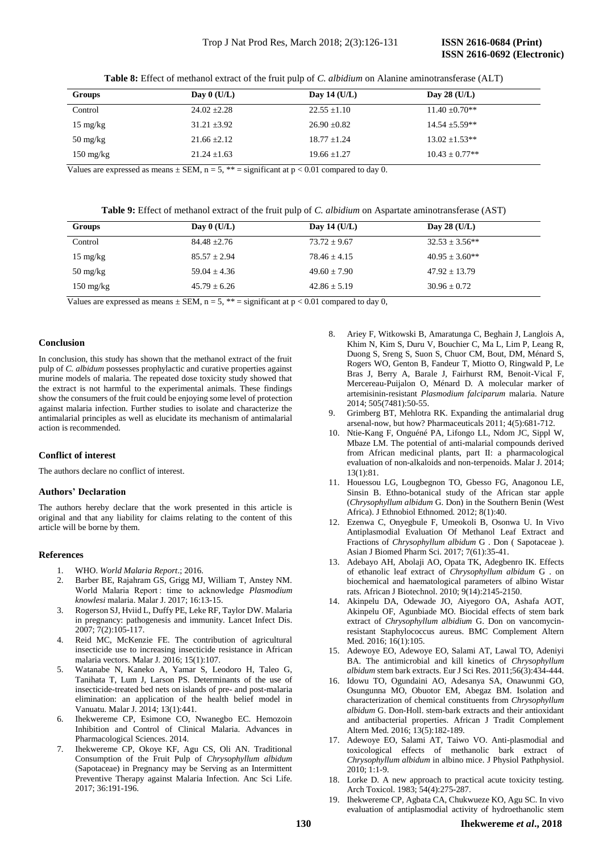**Table 8:** Effect of methanol extract of the fruit pulp of *C. albidium* on Alanine aminotransferase (ALT)

| Groups                           | Day $0$ (U/L)    | Day 14 $(U/L)$   | Day 28 $(U/L)$     |
|----------------------------------|------------------|------------------|--------------------|
| Control                          | $24.02 \pm 2.28$ | $22.55 \pm 1.10$ | $11.40 \pm 0.70**$ |
| $15 \text{ mg/kg}$               | $31.21 \pm 3.92$ | $26.90 \pm 0.82$ | $14.54 \pm 5.59**$ |
| $50 \frac{\text{mg}}{\text{kg}}$ | $21.66 \pm 2.12$ | $18.77 \pm 1.24$ | $13.02 + 1.53**$   |
| $150 \text{ mg/kg}$              | $21.24 \pm 1.63$ | $19.66 + 1.27$   | $10.43 \pm 0.77**$ |

Values are expressed as means  $\pm$  SEM, n = 5, \*\* = significant at p < 0.01 compared to day 0.

**Table 9:** Effect of methanol extract of the fruit pulp of *C. albidium* on Aspartate aminotransferase (AST)

| <b>Groups</b>                    | Day $0$ (U/L)    | Day 14 (U/L)     | Day 28 $(U/L)$     |
|----------------------------------|------------------|------------------|--------------------|
| Control                          | $84.48 + 2.76$   | $73.72 \pm 9.67$ | $32.53 \pm 3.56**$ |
| $15 \text{ mg/kg}$               | $85.57 + 2.94$   | $78.46 + 4.15$   | $40.95 + 3.60**$   |
| $50 \frac{\text{mg}}{\text{kg}}$ | $59.04 \pm 4.36$ | $49.60 + 7.90$   | $47.92 + 13.79$    |
| $150 \text{ mg/kg}$              | $45.79 + 6.26$   | $42.86 + 5.19$   | $30.96 + 0.72$     |

Values are expressed as means  $\pm$  SEM, n = 5, \*\* = significant at p < 0.01 compared to day 0,

## **Conclusion**

In conclusion, this study has shown that the methanol extract of the fruit pulp of *C. albidum* possesses prophylactic and curative properties against murine models of malaria. The repeated dose toxicity study showed that the extract is not harmful to the experimental animals. These findings show the consumers of the fruit could be enjoying some level of protection against malaria infection. Further studies to isolate and characterize the antimalarial principles as well as elucidate its mechanism of antimalarial action is recommended.

## **Conflict of interest**

The authors declare no conflict of interest.

## **Authors' Declaration**

The authors hereby declare that the work presented in this article is original and that any liability for claims relating to the content of this article will be borne by them.

## **References**

- 1. WHO. *World Malaria Report*.; 2016.
- 2. Barber BE, Rajahram GS, Grigg MJ, William T, Anstey NM. World Malaria Report : time to acknowledge *Plasmodium knowlesi* malaria. Malar J. 2017; 16:13-15.
- 3. Rogerson SJ, Hviid L, Duffy PE, Leke RF, Taylor DW. Malaria in pregnancy: pathogenesis and immunity. Lancet Infect Dis. 2007; 7(2):105-117.
- 4. Reid MC, McKenzie FE. The contribution of agricultural insecticide use to increasing insecticide resistance in African malaria vectors. Malar J*.* 2016; 15(1):107.
- 5. Watanabe N, Kaneko A, Yamar S, Leodoro H, Taleo G, Tanihata T, Lum J, Larson PS. Determinants of the use of insecticide-treated bed nets on islands of pre- and post-malaria elimination: an application of the health belief model in Vanuatu. Malar J*.* 2014; 13(1):441.
- 6. Ihekwereme CP, Esimone CO, Nwanegbo EC. Hemozoin Inhibition and Control of Clinical Malaria. Advances in Pharmacological Sciences. 2014.
- 7. Ihekwereme CP, Okoye KF, Agu CS, Oli AN. Traditional Consumption of the Fruit Pulp of *Chrysophyllum albidum* (Sapotaceae) in Pregnancy may be Serving as an Intermittent Preventive Therapy against Malaria Infection. Anc Sci Life*.* 2017; 36:191-196.
- 8. Ariey F, Witkowski B, Amaratunga C, Beghain J, Langlois A, Khim N, Kim S, Duru V, Bouchier C, Ma L, Lim P, Leang R, Duong S, Sreng S, Suon S, Chuor CM, Bout, DM, Ménard S, Rogers WO, Genton B, Fandeur T, Miotto O, Ringwald P, Le Bras J, Berry A, Barale J, Fairhurst RM, Benoit-Vical F, Mercereau-Puijalon O, Ménard D. A molecular marker of artemisinin-resistant *Plasmodium falciparum* malaria. Nature 2014; 505(7481):50-55.
- 9. Grimberg BT, Mehlotra RK. Expanding the antimalarial drug arsenal-now, but how? Pharmaceuticals 2011; 4(5):681-712.
- 10. Ntie-Kang F, Onguéné PA, Lifongo LL, Ndom JC, Sippl W, Mbaze LM. The potential of anti-malarial compounds derived from African medicinal plants, part II: a pharmacological evaluation of non-alkaloids and non-terpenoids. Malar J*.* 2014; 13(1):81.
- 11. Houessou LG, Lougbegnon TO, Gbesso FG, Anagonou LE, Sinsin B. Ethno-botanical study of the African star apple (*Chrysophyllum albidum* G. Don) in the Southern Benin (West Africa). J Ethnobiol Ethnomed*.* 2012; 8(1):40.
- 12. Ezenwa C, Onyegbule F, Umeokoli B, Osonwa U. In Vivo Antiplasmodial Evaluation Of Methanol Leaf Extract and Fractions of *Chrysophyllum albidum* G . Don ( Sapotaceae ). Asian J Biomed Pharm Sci*.* 2017; 7(61):35-41.
- 13. Adebayo AH, Abolaji AO, Opata TK, Adegbenro IK. Effects of ethanolic leaf extract of *Chrysophyllum albidum* G . on biochemical and haematological parameters of albino Wistar rats. African J Biotechnol. 2010; 9(14):2145-2150.
- 14. Akinpelu DA, Odewade JO, Aiyegoro OA, Ashafa AOT, Akinpelu OF, Agunbiade MO. Biocidal effects of stem bark extract of *Chrysophyllum albidium* G. Don on vancomycinresistant Staphylococcus aureus. BMC Complement Altern Med*.* 2016; 16(1):105.
- 15. Adewoye EO, Adewoye EO, Salami AT, Lawal TO, Adeniyi BA. The antimicrobial and kill kinetics of *Chrysophyllum albidum* stem bark extracts. Eur J Sci Res. 2011;56(3):434-444.
- 16. Idowu TO, Ogundaini AO, Adesanya SA, Onawunmi GO, Osungunna MO, Obuotor EM, Abegaz BM. Isolation and characterization of chemical constituents from *Chrysophyllum albidum* G. Don-Holl. stem-bark extracts and their antioxidant and antibacterial properties. African J Tradit Complement Altern Med. 2016; 13(5):182-189.
- 17. Adewoye EO, Salami AT, Taiwo VO. Anti-plasmodial and toxicological effects of methanolic bark extract of *Chrysophyllum albidum* in albino mice. J Physiol Pathphysiol.  $2010:1:1-9$ .
- 18. Lorke D. A new approach to practical acute toxicity testing. Arch Toxicol*.* 1983; 54(4):275-287.
- 19. Ihekwereme CP, Agbata CA, Chukwueze KO, Agu SC. In vivo evaluation of antiplasmodial activity of hydroethanolic stem